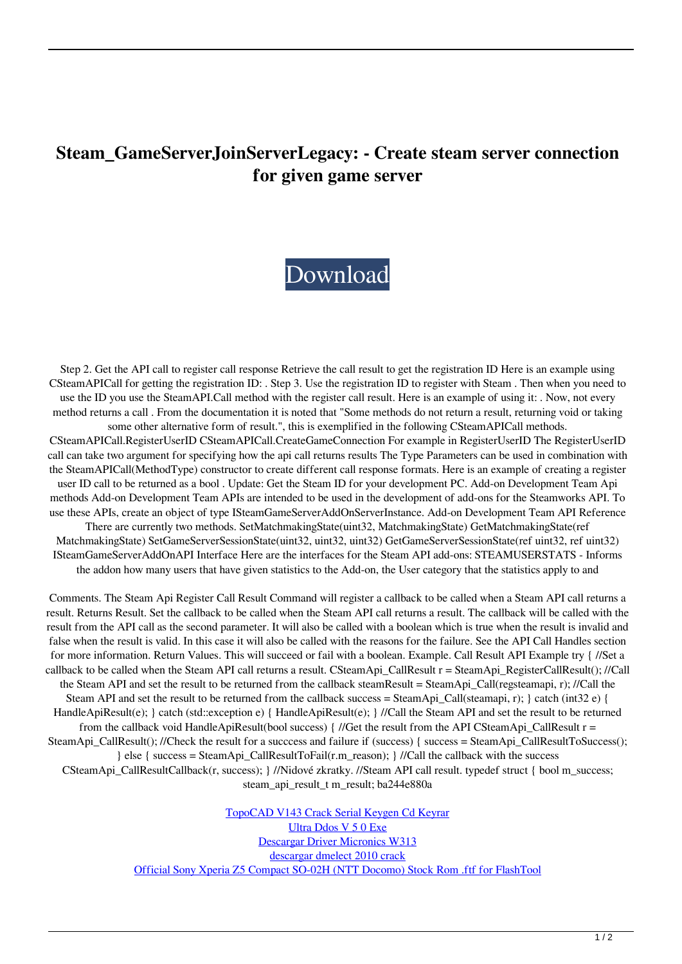## **Steam\_GameServerJoinServerLegacy: - Create steam server connection for given game server**

## [Download](https://ssurll.com/2l1dkk)

Step 2. Get the API call to register call response Retrieve the call result to get the registration ID Here is an example using CSteamAPICall for getting the registration ID: . Step 3. Use the registration ID to register with Steam . Then when you need to use the ID you use the SteamAPI.Call method with the register call result. Here is an example of using it: . Now, not every method returns a call . From the documentation it is noted that "Some methods do not return a result, returning void or taking some other alternative form of result.", this is exemplified in the following CSteamAPICall methods. CSteamAPICall.RegisterUserID CSteamAPICall.CreateGameConnection For example in RegisterUserID The RegisterUserID call can take two argument for specifying how the api call returns results The Type Parameters can be used in combination with the SteamAPICall(MethodType) constructor to create different call response formats. Here is an example of creating a register user ID call to be returned as a bool . Update: Get the Steam ID for your development PC. Add-on Development Team Api methods Add-on Development Team APIs are intended to be used in the development of add-ons for the Steamworks API. To use these APIs, create an object of type ISteamGameServerAddOnServerInstance. Add-on Development Team API Reference There are currently two methods. SetMatchmakingState(uint32, MatchmakingState) GetMatchmakingState(ref MatchmakingState) SetGameServerSessionState(uint32, uint32, uint32) GetGameServerSessionState(ref uint32, ref uint32) ISteamGameServerAddOnAPI Interface Here are the interfaces for the Steam API add-ons: STEAMUSERSTATS - Informs the addon how many users that have given statistics to the Add-on, the User category that the statistics apply to and

Comments. The Steam Api Register Call Result Command will register a callback to be called when a Steam API call returns a result. Returns Result. Set the callback to be called when the Steam API call returns a result. The callback will be called with the result from the API call as the second parameter. It will also be called with a boolean which is true when the result is invalid and false when the result is valid. In this case it will also be called with the reasons for the failure. See the API Call Handles section for more information. Return Values. This will succeed or fail with a boolean. Example. Call Result API Example try { //Set a callback to be called when the Steam API call returns a result. CSteamApi\_CallResult r = SteamApi\_RegisterCallResult(); //Call the Steam API and set the result to be returned from the callback steamResult = SteamApi\_Call(regsteamapi, r); //Call the Steam API and set the result to be returned from the callback success = SteamApi\_Call(steamapi, r); } catch (int32 e) { HandleApiResult(e); } catch (std::exception e) { HandleApiResult(e); } //Call the Steam API and set the result to be returned from the callback void HandleApiResult(bool success) { //Get the result from the API CSteamApi\_CallResult  $r =$ SteamApi\_CallResult(); //Check the result for a success and failure if (success) { success = SteamApi\_CallResultToSuccess(); } else { success = SteamApi\_CallResultToFail(r.m\_reason); } //Call the callback with the success CSteamApi\_CallResultCallback(r, success); } //Nidové zkratky. //Steam API call result. typedef struct { bool m\_success; steam api\_result\_t m\_result; ba244e880a

> [TopoCAD V143 Crack Serial Keygen Cd Keyrar](https://xn--mekariprodksiyon-szb.com/upload/files/2022/05/ZSxdjP1nepLWb5mpBg5n_19_1d9c93be80c55d6f178670354af00519_file.pdf) [Ultra Ddos V 5 0 Exe](https://vumview.com/upload/files/2022/05/6T7l8eIaCR394uTr6P3f_19_42709d4dc589d818255784bcf7e45d0b_file.pdf) [Descargar Driver Micronics W313](https://socialpirate.org/upload/files/2022/05/XYAKyXS6hTV5RxdvSYiH_19_42709d4dc589d818255784bcf7e45d0b_file.pdf) [descargar dmelect 2010 crack](https://ihunt.social/upload/files/2022/05/HmAqpKGpne4mW5erBfuv_19_04557bdb0f9cae4f2d1016ec1f9a6ea5_file.pdf) [Official Sony Xperia Z5 Compact SO-02H \(NTT Docomo\) Stock Rom .ftf for FlashTool](https://360.com.ng/upload/files/2022/05/Rj8dMyW74esCcNUi385k_19_f00cc485272be9392974ab3d9d8c4722_file.pdf)